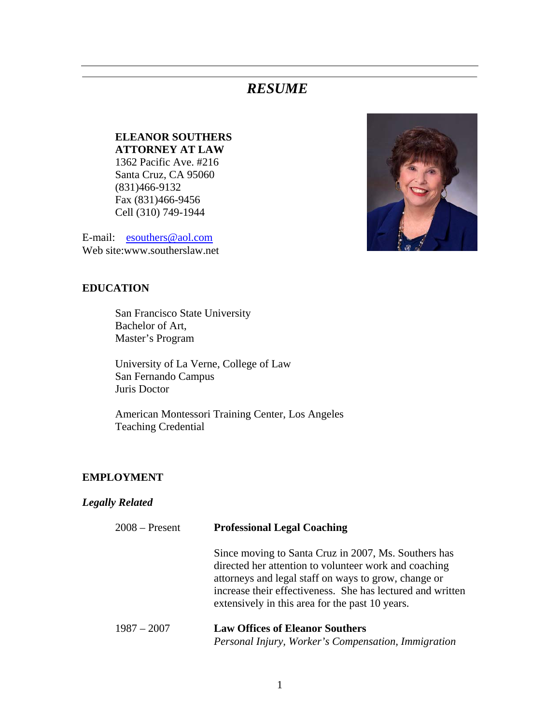# *RESUME*

## **ELEANOR SOUTHERS ATTORNEY AT LAW**

1362 Pacific Ave. #216 Santa Cruz, CA 95060 (831)466-9132 Fax (831)466-9456 Cell (310) 749-1944

E-mail: esouthers@aol.com Web site:www.southerslaw.net

#### **EDUCATION**

San Francisco State University Bachelor of Art, Master's Program

 University of La Verne, College of Law San Fernando Campus Juris Doctor

 American Montessori Training Center, Los Angeles Teaching Credential

#### **EMPLOYMENT**

#### *Legally Related*

| $2008 -$ Present | <b>Professional Legal Coaching</b>                                                                                                                                                                                                                                                     |
|------------------|----------------------------------------------------------------------------------------------------------------------------------------------------------------------------------------------------------------------------------------------------------------------------------------|
|                  | Since moving to Santa Cruz in 2007, Ms. Southers has<br>directed her attention to volunteer work and coaching<br>attorneys and legal staff on ways to grow, change or<br>increase their effectiveness. She has lectured and written<br>extensively in this area for the past 10 years. |
| $1987 - 2007$    | <b>Law Offices of Eleanor Southers</b>                                                                                                                                                                                                                                                 |
|                  | Personal Injury, Worker's Compensation, Immigration                                                                                                                                                                                                                                    |

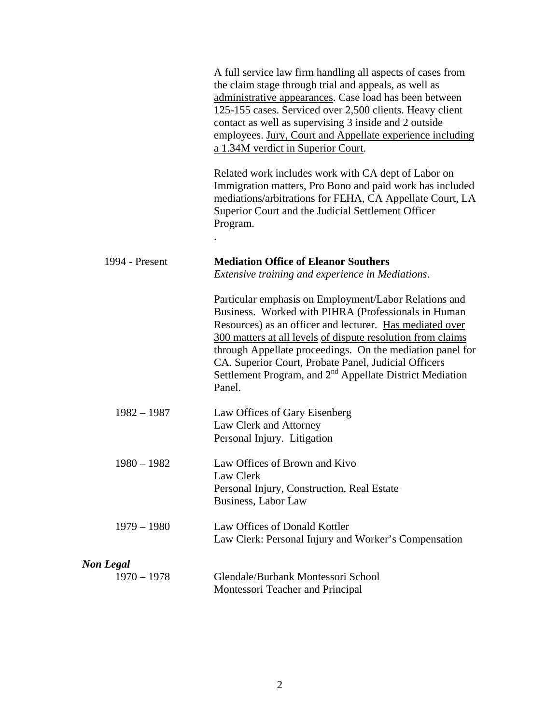|                  | A full service law firm handling all aspects of cases from<br>the claim stage through trial and appeals, as well as<br>administrative appearances. Case load has been between<br>125-155 cases. Serviced over 2,500 clients. Heavy client<br>contact as well as supervising 3 inside and 2 outside<br>employees. Jury, Court and Appellate experience including<br>a 1.34M verdict in Superior Court.                                          |
|------------------|------------------------------------------------------------------------------------------------------------------------------------------------------------------------------------------------------------------------------------------------------------------------------------------------------------------------------------------------------------------------------------------------------------------------------------------------|
|                  | Related work includes work with CA dept of Labor on<br>Immigration matters, Pro Bono and paid work has included<br>mediations/arbitrations for FEHA, CA Appellate Court, LA<br>Superior Court and the Judicial Settlement Officer<br>Program.                                                                                                                                                                                                  |
|                  |                                                                                                                                                                                                                                                                                                                                                                                                                                                |
| 1994 - Present   | <b>Mediation Office of Eleanor Southers</b><br>Extensive training and experience in Mediations.                                                                                                                                                                                                                                                                                                                                                |
|                  | Particular emphasis on Employment/Labor Relations and<br>Business. Worked with PIHRA (Professionals in Human<br>Resources) as an officer and lecturer. Has mediated over<br>300 matters at all levels of dispute resolution from claims<br>through Appellate proceedings. On the mediation panel for<br>CA. Superior Court, Probate Panel, Judicial Officers<br>Settlement Program, and 2 <sup>nd</sup> Appellate District Mediation<br>Panel. |
| $1982 - 1987$    | Law Offices of Gary Eisenberg<br>Law Clerk and Attorney<br>Personal Injury. Litigation                                                                                                                                                                                                                                                                                                                                                         |
| $1980 - 1982$    | Law Offices of Brown and Kivo<br>Law Clerk<br>Personal Injury, Construction, Real Estate<br>Business, Labor Law                                                                                                                                                                                                                                                                                                                                |
| $1979 - 1980$    | Law Offices of Donald Kottler<br>Law Clerk: Personal Injury and Worker's Compensation                                                                                                                                                                                                                                                                                                                                                          |
| <b>Non Legal</b> |                                                                                                                                                                                                                                                                                                                                                                                                                                                |
| $1970 - 1978$    | Glendale/Burbank Montessori School<br>Montessori Teacher and Principal                                                                                                                                                                                                                                                                                                                                                                         |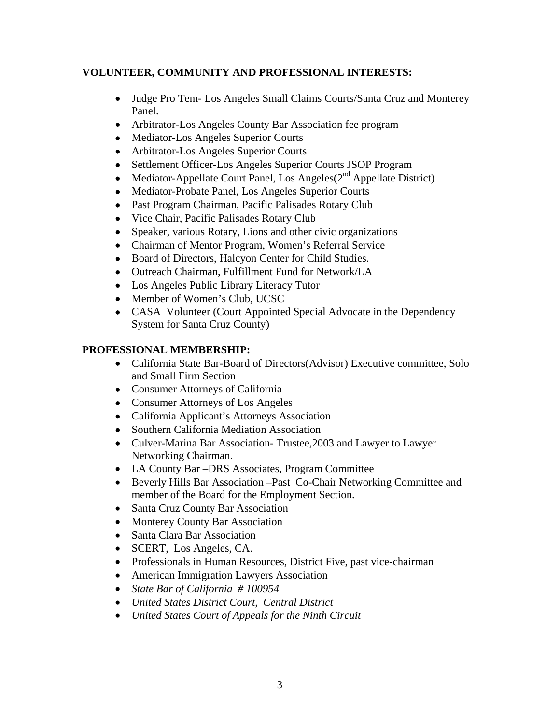# **VOLUNTEER, COMMUNITY AND PROFESSIONAL INTERESTS:**

- Judge Pro Tem- Los Angeles Small Claims Courts/Santa Cruz and Monterey Panel.
- Arbitrator-Los Angeles County Bar Association fee program
- Mediator-Los Angeles Superior Courts
- Arbitrator-Los Angeles Superior Courts
- Settlement Officer-Los Angeles Superior Courts JSOP Program
- Mediator-Appellate Court Panel, Los Angeles $(2^{nd}$  Appellate District)
- Mediator-Probate Panel, Los Angeles Superior Courts
- Past Program Chairman, Pacific Palisades Rotary Club
- Vice Chair, Pacific Palisades Rotary Club
- Speaker, various Rotary, Lions and other civic organizations
- Chairman of Mentor Program, Women's Referral Service
- Board of Directors, Halcyon Center for Child Studies.
- Outreach Chairman, Fulfillment Fund for Network/LA
- Los Angeles Public Library Literacy Tutor
- Member of Women's Club, UCSC
- CASA Volunteer (Court Appointed Special Advocate in the Dependency System for Santa Cruz County)

## **PROFESSIONAL MEMBERSHIP:**

- California State Bar-Board of Directors(Advisor) Executive committee, Solo and Small Firm Section
- Consumer Attorneys of California
- Consumer Attorneys of Los Angeles
- California Applicant's Attorneys Association
- Southern California Mediation Association
- Culver-Marina Bar Association- Trustee,2003 and Lawyer to Lawyer Networking Chairman.
- LA County Bar –DRS Associates, Program Committee
- Beverly Hills Bar Association –Past Co-Chair Networking Committee and member of the Board for the Employment Section.
- Santa Cruz County Bar Association
- Monterey County Bar Association
- Santa Clara Bar Association
- SCERT, Los Angeles, CA.
- Professionals in Human Resources, District Five, past vice-chairman
- American Immigration Lawyers Association
- *State Bar of California # 100954*
- *United States District Court, Central District*
- *United States Court of Appeals for the Ninth Circuit*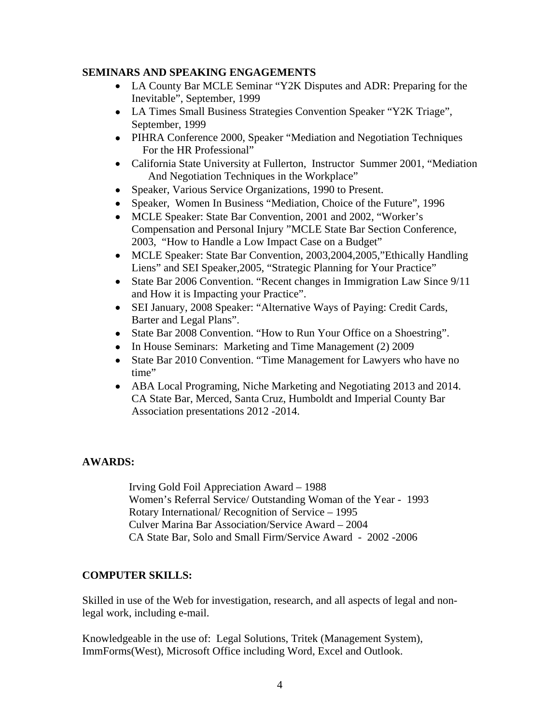#### **SEMINARS AND SPEAKING ENGAGEMENTS**

- LA County Bar MCLE Seminar "Y2K Disputes and ADR: Preparing for the Inevitable", September, 1999
- LA Times Small Business Strategies Convention Speaker "Y2K Triage", September, 1999
- PIHRA Conference 2000, Speaker "Mediation and Negotiation Techniques For the HR Professional"
- California State University at Fullerton, Instructor Summer 2001, "Mediation And Negotiation Techniques in the Workplace"
- Speaker, Various Service Organizations, 1990 to Present.
- Speaker, Women In Business "Mediation, Choice of the Future", 1996
- MCLE Speaker: State Bar Convention, 2001 and 2002, "Worker's Compensation and Personal Injury "MCLE State Bar Section Conference, 2003, "How to Handle a Low Impact Case on a Budget"
- MCLE Speaker: State Bar Convention, 2003, 2004, 2005, "Ethically Handling" Liens" and SEI Speaker,2005, "Strategic Planning for Your Practice"
- State Bar 2006 Convention. "Recent changes in Immigration Law Since 9/11 and How it is Impacting your Practice".
- SEI January, 2008 Speaker: "Alternative Ways of Paying: Credit Cards, Barter and Legal Plans".
- State Bar 2008 Convention. "How to Run Your Office on a Shoestring".
- In House Seminars: Marketing and Time Management (2) 2009
- State Bar 2010 Convention. "Time Management for Lawyers who have no time"
- ABA Local Programing, Niche Marketing and Negotiating 2013 and 2014. CA State Bar, Merced, Santa Cruz, Humboldt and Imperial County Bar Association presentations 2012 -2014.

## **AWARDS:**

Irving Gold Foil Appreciation Award – 1988 Women's Referral Service/ Outstanding Woman of the Year - 1993 Rotary International/ Recognition of Service – 1995 Culver Marina Bar Association/Service Award – 2004 CA State Bar, Solo and Small Firm/Service Award - 2002 -2006

## **COMPUTER SKILLS:**

Skilled in use of the Web for investigation, research, and all aspects of legal and nonlegal work, including e-mail.

Knowledgeable in the use of: Legal Solutions, Tritek (Management System), ImmForms(West), Microsoft Office including Word, Excel and Outlook.